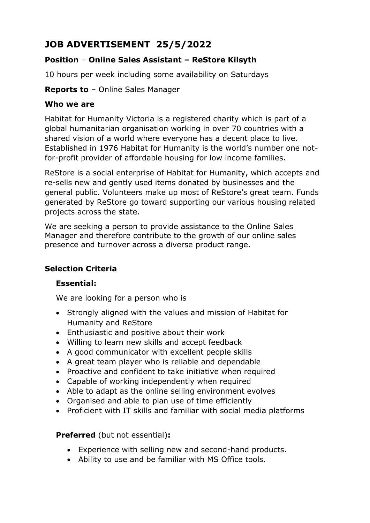# **JOB ADVERTISEMENT 25/5/2022**

## **Position** – **Online Sales Assistant – ReStore Kilsyth**

10 hours per week including some availability on Saturdays

**Reports to** – Online Sales Manager

#### **Who we are**

Habitat for Humanity Victoria is a registered charity which is part of a global humanitarian organisation working in over 70 countries with a shared vision of a world where everyone has a decent place to live. Established in 1976 Habitat for Humanity is the world's number one notfor-profit provider of affordable housing for low income families.

ReStore is a social enterprise of Habitat for Humanity, which accepts and re-sells new and gently used items donated by businesses and the general public. Volunteers make up most of ReStore's great team. Funds generated by ReStore go toward supporting our various housing related projects across the state.

We are seeking a person to provide assistance to the Online Sales Manager and therefore contribute to the growth of our online sales presence and turnover across a diverse product range.

#### **Selection Criteria**

#### **Essential:**

We are looking for a person who is

- Strongly aligned with the values and mission of Habitat for Humanity and ReStore
- Enthusiastic and positive about their work
- Willing to learn new skills and accept feedback
- A good communicator with excellent people skills
- A great team player who is reliable and dependable
- Proactive and confident to take initiative when required
- Capable of working independently when required
- Able to adapt as the online selling environment evolves
- Organised and able to plan use of time efficiently
- Proficient with IT skills and familiar with social media platforms

**Preferred** (but not essential)**:**

- Experience with selling new and second-hand products.
- Ability to use and be familiar with MS Office tools.